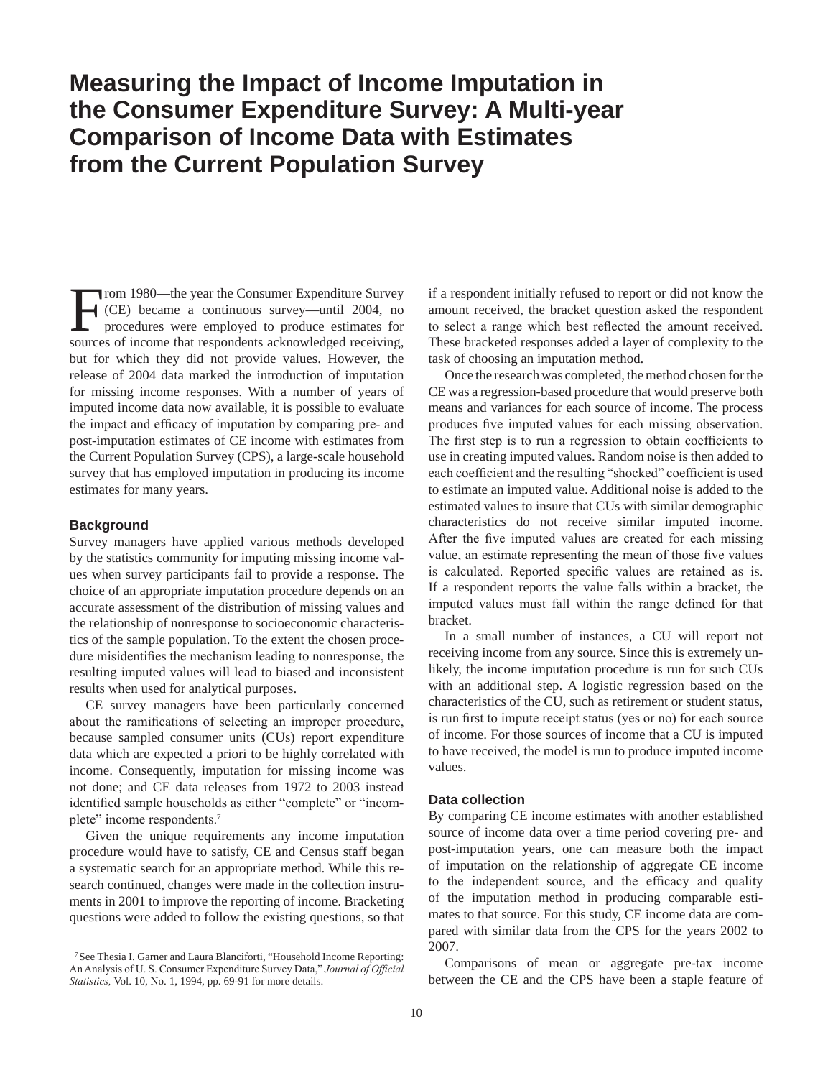# **Measuring the Impact of Income Imputation in the Consumer Expenditure Survey: A Multi-year Comparison of Income Data with Estimates from the Current Population Survey**

From 1980—the year the Consumer Expenditure Survey<br>(CE) became a continuous survey—until 2004, no<br>procedures were employed to produce estimates for<br>sources of income that respondents acknowledged receiving (CE) became a continuous survey—until 2004, no procedures were employed to produce estimates for sources of income that respondents acknowledged receiving, but for which they did not provide values. However, the release of 2004 data marked the introduction of imputation for missing income responses. With a number of years of imputed income data now available, it is possible to evaluate the impact and efficacy of imputation by comparing pre- and post-imputation estimates of CE income with estimates from the Current Population Survey (CPS), a large-scale household survey that has employed imputation in producing its income estimates for many years.

## **Background**

Survey managers have applied various methods developed by the statistics community for imputing missing income values when survey participants fail to provide a response. The choice of an appropriate imputation procedure depends on an accurate assessment of the distribution of missing values and the relationship of nonresponse to socioeconomic characteristics of the sample population. To the extent the chosen procedure misidentifies the mechanism leading to nonresponse, the resulting imputed values will lead to biased and inconsistent results when used for analytical purposes.

CE survey managers have been particularly concerned about the ramifications of selecting an improper procedure, because sampled consumer units (CUs) report expenditure data which are expected a priori to be highly correlated with income. Consequently, imputation for missing income was not done; and CE data releases from 1972 to 2003 instead identified sample households as either "complete" or "incomplete" income respondents.<sup>7</sup>

Given the unique requirements any income imputation procedure would have to satisfy, CE and Census staff began a systematic search for an appropriate method. While this research continued, changes were made in the collection instruments in 2001 to improve the reporting of income. Bracketing questions were added to follow the existing questions, so that if a respondent initially refused to report or did not know the amount received, the bracket question asked the respondent to select a range which best reflected the amount received. These bracketed responses added a layer of complexity to the task of choosing an imputation method.

Once the research was completed, the method chosen for the CE was a regression-based procedure that would preserve both means and variances for each source of income. The process produces five imputed values for each missing observation. The first step is to run a regression to obtain coefficients to use in creating imputed values. Random noise is then added to each coefficient and the resulting "shocked" coefficient is used to estimate an imputed value. Additional noise is added to the estimated values to insure that CUs with similar demographic characteristics do not receive similar imputed income. After the five imputed values are created for each missing value, an estimate representing the mean of those five values is calculated. Reported specific values are retained as is. If a respondent reports the value falls within a bracket, the imputed values must fall within the range defined for that bracket.

In a small number of instances, a CU will report not receiving income from any source. Since this is extremely unlikely, the income imputation procedure is run for such CUs with an additional step. A logistic regression based on the characteristics of the CU, such as retirement or student status, is run first to impute receipt status (yes or no) for each source of income. For those sources of income that a CU is imputed to have received, the model is run to produce imputed income values.

# **Data collection**

By comparing CE income estimates with another established source of income data over a time period covering pre- and post-imputation years, one can measure both the impact of imputation on the relationship of aggregate CE income to the independent source, and the efficacy and quality of the imputation method in producing comparable estimates to that source. For this study, CE income data are compared with similar data from the CPS for the years 2002 to 2007.

Comparisons of mean or aggregate pre-tax income between the CE and the CPS have been a staple feature of

<sup>7</sup>See Thesia I. Garner and Laura Blanciforti, "Household Income Reporting: An Analysis of U. S. Consumer Expenditure Survey Data," *Journal of Official Statistics,* Vol. 10, No. 1, 1994, pp. 69-91 for more details.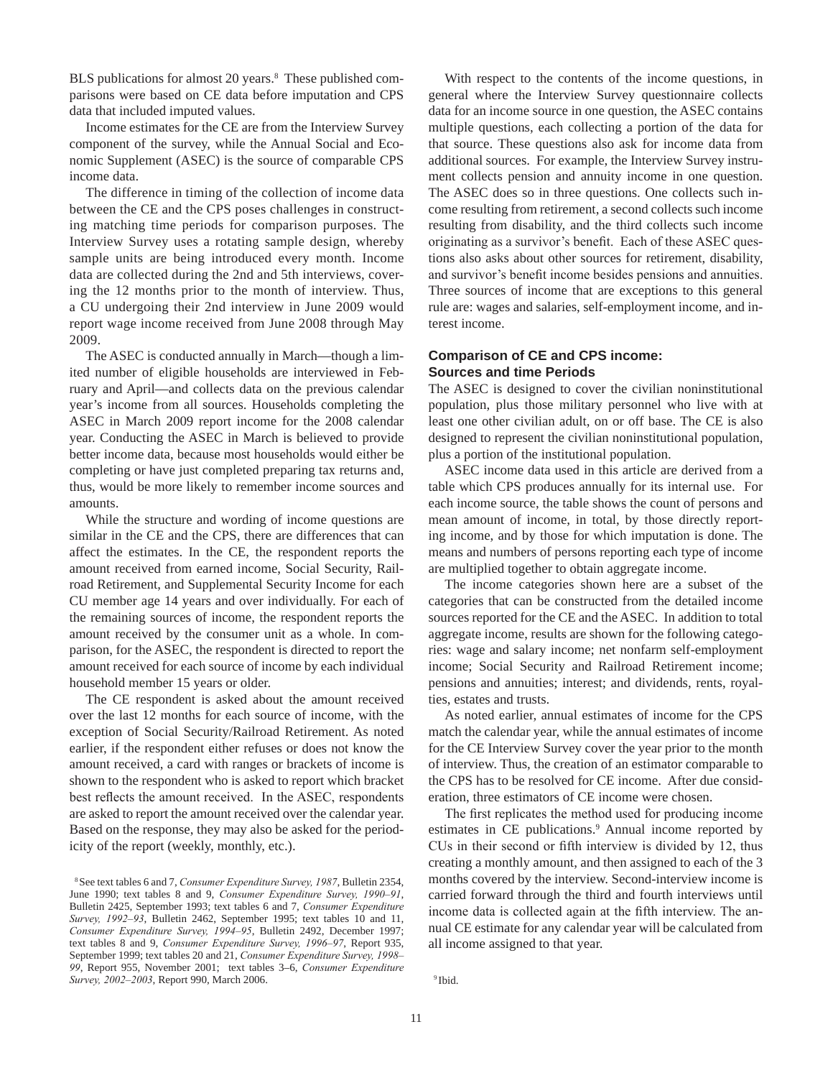BLS publications for almost 20 years.<sup>8</sup> These published comparisons were based on CE data before imputation and CPS data that included imputed values.

Income estimates for the CE are from the Interview Survey component of the survey, while the Annual Social and Economic Supplement (ASEC) is the source of comparable CPS income data.

The difference in timing of the collection of income data between the CE and the CPS poses challenges in constructing matching time periods for comparison purposes. The Interview Survey uses a rotating sample design, whereby sample units are being introduced every month. Income data are collected during the 2nd and 5th interviews, covering the 12 months prior to the month of interview. Thus, a CU undergoing their 2nd interview in June 2009 would report wage income received from June 2008 through May 2009.

The ASEC is conducted annually in March—though a limited number of eligible households are interviewed in February and April—and collects data on the previous calendar year's income from all sources. Households completing the ASEC in March 2009 report income for the 2008 calendar year. Conducting the ASEC in March is believed to provide better income data, because most households would either be completing or have just completed preparing tax returns and, thus, would be more likely to remember income sources and amounts.

While the structure and wording of income questions are similar in the CE and the CPS, there are differences that can affect the estimates. In the CE, the respondent reports the amount received from earned income, Social Security, Railroad Retirement, and Supplemental Security Income for each CU member age 14 years and over individually. For each of the remaining sources of income, the respondent reports the amount received by the consumer unit as a whole. In comparison, for the ASEC, the respondent is directed to report the amount received for each source of income by each individual household member 15 years or older.

The CE respondent is asked about the amount received over the last 12 months for each source of income, with the exception of Social Security/Railroad Retirement. As noted earlier, if the respondent either refuses or does not know the amount received, a card with ranges or brackets of income is shown to the respondent who is asked to report which bracket best reflects the amount received. In the ASEC, respondents are asked to report the amount received over the calendar year. Based on the response, they may also be asked for the periodicity of the report (weekly, monthly, etc.).

With respect to the contents of the income questions, in general where the Interview Survey questionnaire collects data for an income source in one question, the ASEC contains multiple questions, each collecting a portion of the data for that source. These questions also ask for income data from additional sources. For example, the Interview Survey instrument collects pension and annuity income in one question. The ASEC does so in three questions. One collects such income resulting from retirement, a second collects such income resulting from disability, and the third collects such income originating as a survivor's benefit. Each of these ASEC questions also asks about other sources for retirement, disability, and survivor's benefit income besides pensions and annuities. Three sources of income that are exceptions to this general rule are: wages and salaries, self-employment income, and interest income.

# **Comparison of CE and CPS income: Sources and time Periods**

The ASEC is designed to cover the civilian noninstitutional population, plus those military personnel who live with at least one other civilian adult, on or off base. The CE is also designed to represent the civilian noninstitutional population, plus a portion of the institutional population.

ASEC income data used in this article are derived from a table which CPS produces annually for its internal use. For each income source, the table shows the count of persons and mean amount of income, in total, by those directly reporting income, and by those for which imputation is done. The means and numbers of persons reporting each type of income are multiplied together to obtain aggregate income.

The income categories shown here are a subset of the categories that can be constructed from the detailed income sources reported for the CE and the ASEC. In addition to total aggregate income, results are shown for the following categories: wage and salary income; net nonfarm self-employment income; Social Security and Railroad Retirement income; pensions and annuities; interest; and dividends, rents, royalties, estates and trusts.

As noted earlier, annual estimates of income for the CPS match the calendar year, while the annual estimates of income for the CE Interview Survey cover the year prior to the month of interview. Thus, the creation of an estimator comparable to the CPS has to be resolved for CE income. After due consideration, three estimators of CE income were chosen.

The first replicates the method used for producing income estimates in CE publications.<sup>9</sup> Annual income reported by CUs in their second or fifth interview is divided by 12, thus creating a monthly amount, and then assigned to each of the 3 months covered by the interview. Second-interview income is carried forward through the third and fourth interviews until income data is collected again at the fifth interview. The annual CE estimate for any calendar year will be calculated from all income assigned to that year.

<sup>8</sup>See text tables 6 and 7, *Consumer Expenditure Survey, 1987*, Bulletin 2354, June 1990; text tables 8 and 9, *Consumer Expenditure Survey, 1990–91*, Bulletin 2425, September 1993; text tables 6 and 7, *Consumer Expenditure Survey, 1992–93*, Bulletin 2462, September 1995; text tables 10 and 11, *Consumer Expenditure Survey, 1994–95*, Bulletin 2492, December 1997; text tables 8 and 9, *Consumer Expenditure Survey, 1996–97*, Report 935, September 1999; text tables 20 and 21, *Consumer Expenditure Survey, 1998– 99*, Report 955, November 2001; text tables 3–6, *Consumer Expenditure Survey, 2002–2003*, Report 990, March 2006. <sup>9</sup> Ibid.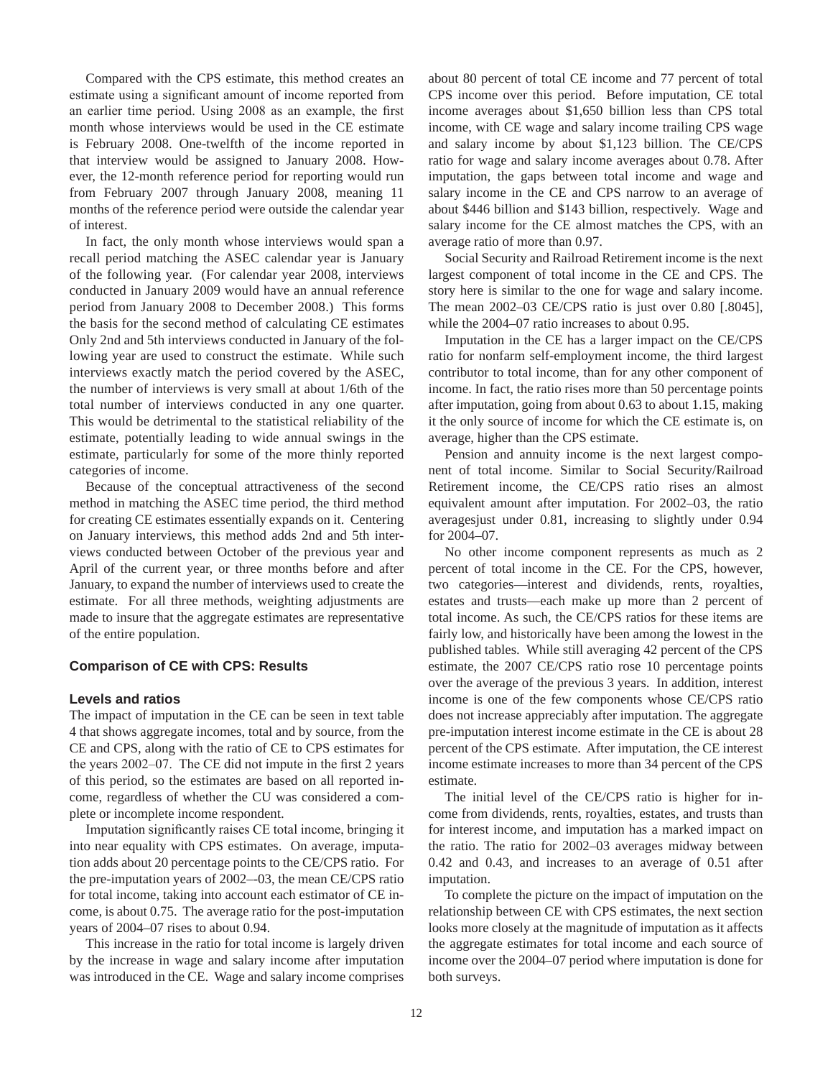Compared with the CPS estimate, this method creates an estimate using a significant amount of income reported from an earlier time period. Using 2008 as an example, the first month whose interviews would be used in the CE estimate is February 2008. One-twelfth of the income reported in that interview would be assigned to January 2008. However, the 12-month reference period for reporting would run from February 2007 through January 2008, meaning 11 months of the reference period were outside the calendar year of interest.

In fact, the only month whose interviews would span a recall period matching the ASEC calendar year is January of the following year. (For calendar year 2008, interviews conducted in January 2009 would have an annual reference period from January 2008 to December 2008.) This forms the basis for the second method of calculating CE estimates Only 2nd and 5th interviews conducted in January of the following year are used to construct the estimate. While such interviews exactly match the period covered by the ASEC, the number of interviews is very small at about 1/6th of the total number of interviews conducted in any one quarter. This would be detrimental to the statistical reliability of the estimate, potentially leading to wide annual swings in the estimate, particularly for some of the more thinly reported categories of income.

Because of the conceptual attractiveness of the second method in matching the ASEC time period, the third method for creating CE estimates essentially expands on it. Centering on January interviews, this method adds 2nd and 5th interviews conducted between October of the previous year and April of the current year, or three months before and after January, to expand the number of interviews used to create the estimate. For all three methods, weighting adjustments are made to insure that the aggregate estimates are representative of the entire population.

#### **Comparison of CE with CPS: Results**

#### **Levels and ratios**

The impact of imputation in the CE can be seen in text table 4 that shows aggregate incomes, total and by source, from the CE and CPS, along with the ratio of CE to CPS estimates for the years 2002–07. The CE did not impute in the first 2 years of this period, so the estimates are based on all reported income, regardless of whether the CU was considered a complete or incomplete income respondent.

Imputation significantly raises CE total income, bringing it into near equality with CPS estimates. On average, imputation adds about 20 percentage points to the CE/CPS ratio. For the pre-imputation years of 2002–-03, the mean CE/CPS ratio for total income, taking into account each estimator of CE income, is about 0.75. The average ratio for the post-imputation years of 2004–07 rises to about 0.94.

This increase in the ratio for total income is largely driven by the increase in wage and salary income after imputation was introduced in the CE. Wage and salary income comprises about 80 percent of total CE income and 77 percent of total CPS income over this period. Before imputation, CE total income averages about \$1,650 billion less than CPS total income, with CE wage and salary income trailing CPS wage and salary income by about \$1,123 billion. The CE/CPS ratio for wage and salary income averages about 0.78. After imputation, the gaps between total income and wage and salary income in the CE and CPS narrow to an average of about \$446 billion and \$143 billion, respectively. Wage and salary income for the CE almost matches the CPS, with an average ratio of more than 0.97.

Social Security and Railroad Retirement income is the next largest component of total income in the CE and CPS. The story here is similar to the one for wage and salary income. The mean 2002–03 CE/CPS ratio is just over 0.80 [.8045], while the 2004–07 ratio increases to about 0.95.

Imputation in the CE has a larger impact on the CE/CPS ratio for nonfarm self-employment income, the third largest contributor to total income, than for any other component of income. In fact, the ratio rises more than 50 percentage points after imputation, going from about 0.63 to about 1.15, making it the only source of income for which the CE estimate is, on average, higher than the CPS estimate.

Pension and annuity income is the next largest component of total income. Similar to Social Security/Railroad Retirement income, the CE/CPS ratio rises an almost equivalent amount after imputation. For 2002–03, the ratio averagesjust under 0.81, increasing to slightly under 0.94 for 2004–07.

No other income component represents as much as 2 percent of total income in the CE. For the CPS, however, two categories—interest and dividends, rents, royalties, estates and trusts—each make up more than 2 percent of total income. As such, the CE/CPS ratios for these items are fairly low, and historically have been among the lowest in the published tables. While still averaging 42 percent of the CPS estimate, the 2007 CE/CPS ratio rose 10 percentage points over the average of the previous 3 years. In addition, interest income is one of the few components whose CE/CPS ratio does not increase appreciably after imputation. The aggregate pre-imputation interest income estimate in the CE is about 28 percent of the CPS estimate. After imputation, the CE interest income estimate increases to more than 34 percent of the CPS estimate.

The initial level of the CE/CPS ratio is higher for income from dividends, rents, royalties, estates, and trusts than for interest income, and imputation has a marked impact on the ratio. The ratio for 2002–03 averages midway between 0.42 and 0.43, and increases to an average of 0.51 after imputation.

To complete the picture on the impact of imputation on the relationship between CE with CPS estimates, the next section looks more closely at the magnitude of imputation as it affects the aggregate estimates for total income and each source of income over the 2004–07 period where imputation is done for both surveys.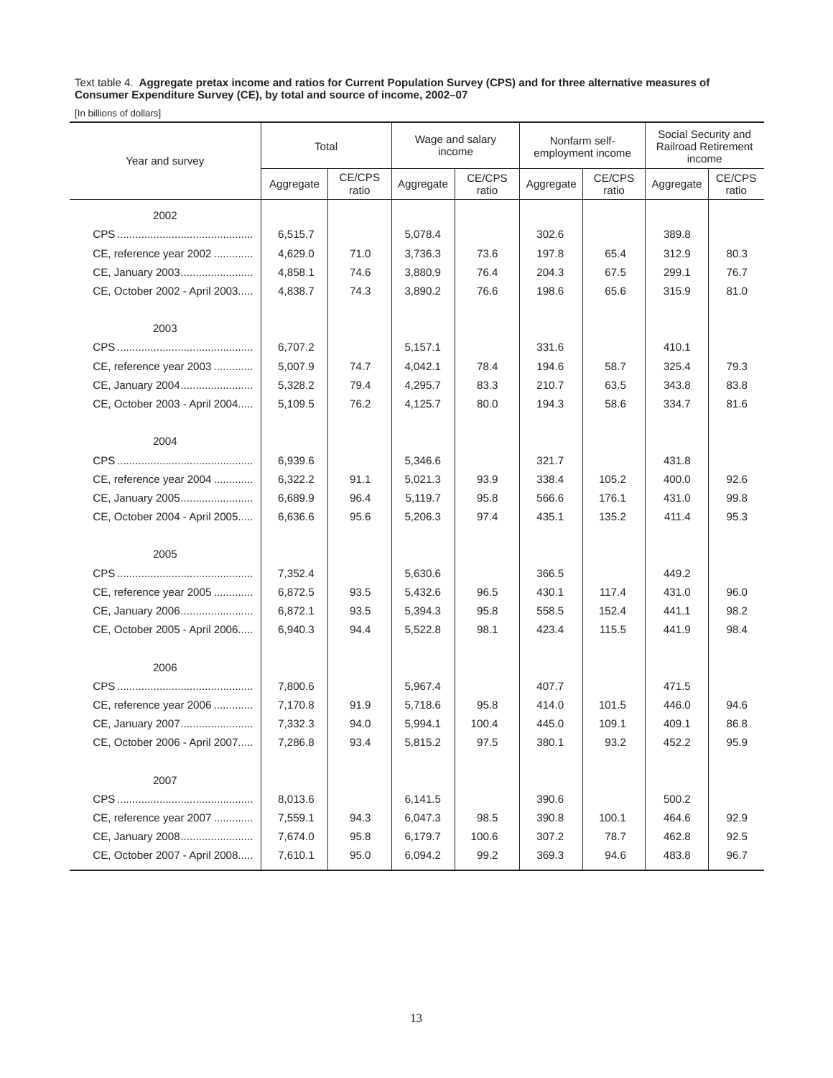Text table 4. **Aggregate pretax income and ratios for Current Population Survey (CPS) and for three alternative measures of Consumer Expenditure Survey (CE), by total and source of income, 2002–07**

| Year and survey               | Total     |                 | Wage and salary<br>income |                 | Nonfarm self-<br>employment income |                 | Social Security and<br><b>Railroad Retirement</b><br>income |                 |
|-------------------------------|-----------|-----------------|---------------------------|-----------------|------------------------------------|-----------------|-------------------------------------------------------------|-----------------|
|                               | Aggregate | CE/CPS<br>ratio | Aggregate                 | CE/CPS<br>ratio | Aggregate                          | CE/CPS<br>ratio | Aggregate                                                   | CE/CPS<br>ratio |
| 2002                          |           |                 |                           |                 |                                    |                 |                                                             |                 |
|                               | 6,515.7   |                 | 5,078.4                   |                 | 302.6                              |                 | 389.8                                                       |                 |
| CE, reference year 2002       | 4,629.0   | 71.0            | 3,736.3                   | 73.6            | 197.8                              | 65.4            | 312.9                                                       | 80.3            |
| CE, January 2003              | 4,858.1   | 74.6            | 3,880.9                   | 76.4            | 204.3                              | 67.5            | 299.1                                                       | 76.7            |
| CE, October 2002 - April 2003 | 4,838.7   | 74.3            | 3,890.2                   | 76.6            | 198.6                              | 65.6            | 315.9                                                       | 81.0            |
| 2003                          |           |                 |                           |                 |                                    |                 |                                                             |                 |
|                               | 6,707.2   |                 | 5,157.1                   |                 | 331.6                              |                 | 410.1                                                       |                 |
| CE, reference year 2003       | 5,007.9   | 74.7            | 4,042.1                   | 78.4            | 194.6                              | 58.7            | 325.4                                                       | 79.3            |
| CE, January 2004              | 5,328.2   | 79.4            | 4,295.7                   | 83.3            | 210.7                              | 63.5            | 343.8                                                       | 83.8            |
| CE, October 2003 - April 2004 | 5,109.5   | 76.2            | 4,125.7                   | 80.0            | 194.3                              | 58.6            | 334.7                                                       | 81.6            |
| 2004                          |           |                 |                           |                 |                                    |                 |                                                             |                 |
|                               | 6,939.6   |                 | 5,346.6                   |                 | 321.7                              |                 | 431.8                                                       |                 |
| CE, reference year 2004       | 6,322.2   | 91.1            | 5,021.3                   | 93.9            | 338.4                              | 105.2           | 400.0                                                       | 92.6            |
| CE, January 2005              | 6,689.9   | 96.4            | 5,119.7                   | 95.8            | 566.6                              | 176.1           | 431.0                                                       | 99.8            |
| CE, October 2004 - April 2005 | 6,636.6   | 95.6            | 5,206.3                   | 97.4            | 435.1                              | 135.2           | 411.4                                                       | 95.3            |
| 2005                          |           |                 |                           |                 |                                    |                 |                                                             |                 |
|                               | 7,352.4   |                 | 5,630.6                   |                 | 366.5                              |                 | 449.2                                                       |                 |
| CE, reference year 2005       | 6,872.5   | 93.5            | 5,432.6                   | 96.5            | 430.1                              | 117.4           | 431.0                                                       | 96.0            |
| CE, January 2006              | 6,872.1   | 93.5            | 5,394.3                   | 95.8            | 558.5                              | 152.4           | 441.1                                                       | 98.2            |
| CE, October 2005 - April 2006 | 6,940.3   | 94.4            | 5,522.8                   | 98.1            | 423.4                              | 115.5           | 441.9                                                       | 98.4            |
| 2006                          |           |                 |                           |                 |                                    |                 |                                                             |                 |
|                               | 7,800.6   |                 | 5,967.4                   |                 | 407.7                              |                 | 471.5                                                       |                 |
| CE, reference year 2006       | 7,170.8   | 91.9            | 5,718.6                   | 95.8            | 414.0                              | 101.5           | 446.0                                                       | 94.6            |
| CE, January 2007              | 7,332.3   | 94.0            | 5,994.1                   | 100.4           | 445.0                              | 109.1           | 409.1                                                       | 86.8            |
| CE, October 2006 - April 2007 | 7,286.8   | 93.4            | 5,815.2                   | 97.5            | 380.1                              | 93.2            | 452.2                                                       | 95.9            |
| 2007                          |           |                 |                           |                 |                                    |                 |                                                             |                 |
|                               | 8,013.6   |                 | 6,141.5                   |                 | 390.6                              |                 | 500.2                                                       |                 |
| CE, reference year 2007       | 7,559.1   | 94.3            | 6,047.3                   | 98.5            | 390.8                              | 100.1           | 464.6                                                       | 92.9            |
| CE, January 2008              | 7,674.0   | 95.8            | 6,179.7                   | 100.6           | 307.2                              | 78.7            | 462.8                                                       | 92.5            |
| CE, October 2007 - April 2008 | 7,610.1   | 95.0            | 6,094.2                   | 99.2            | 369.3                              | 94.6            | 483.8                                                       | 96.7            |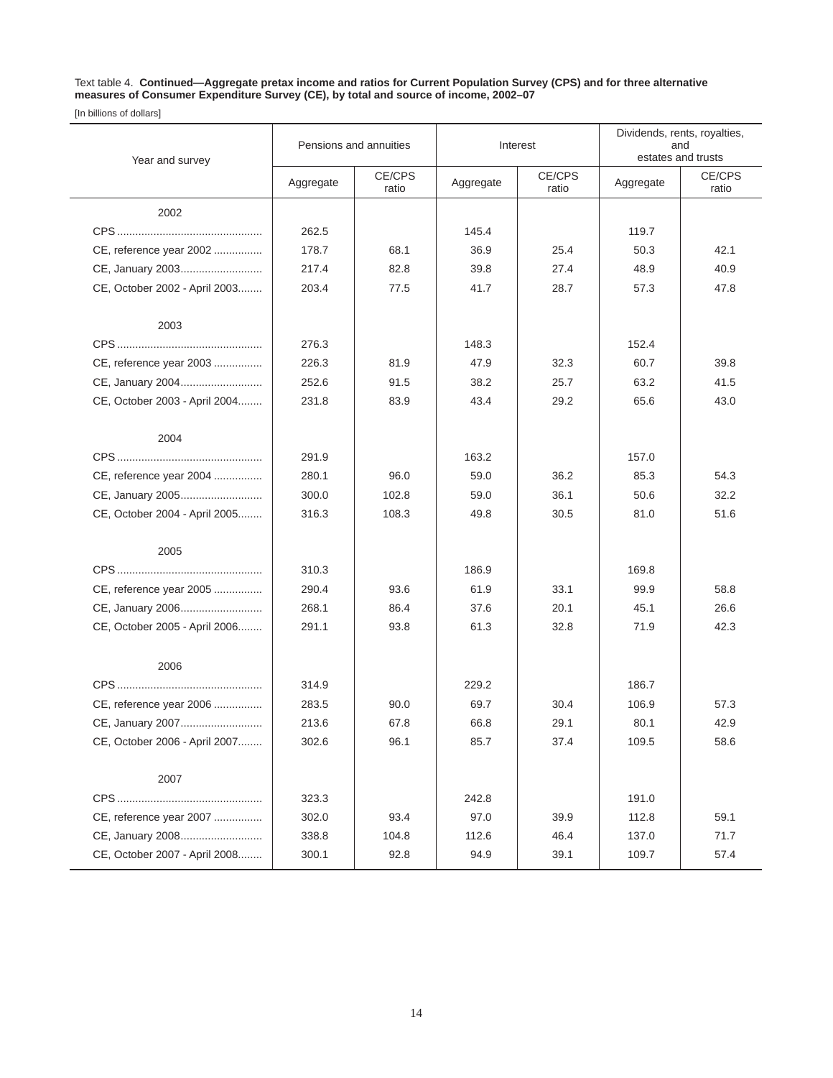Text table 4. **Continued—Aggregate pretax income and ratios for Current Population Survey (CPS) and for three alternative measures of Consumer Expenditure Survey (CE), by total and source of income, 2002–07** 

| Year and survey               | Pensions and annuities |                 |           | Interest        | Dividends, rents, royalties,<br>and<br>estates and trusts |                 |
|-------------------------------|------------------------|-----------------|-----------|-----------------|-----------------------------------------------------------|-----------------|
|                               | Aggregate              | CE/CPS<br>ratio | Aggregate | CE/CPS<br>ratio | Aggregate                                                 | CE/CPS<br>ratio |
| 2002                          |                        |                 |           |                 |                                                           |                 |
|                               | 262.5                  |                 | 145.4     |                 | 119.7                                                     |                 |
| CE, reference year 2002       | 178.7                  | 68.1            | 36.9      | 25.4            | 50.3                                                      | 42.1            |
| CE, January 2003              | 217.4                  | 82.8            | 39.8      | 27.4            | 48.9                                                      | 40.9            |
| CE, October 2002 - April 2003 | 203.4                  | 77.5            | 41.7      | 28.7            | 57.3                                                      | 47.8            |
| 2003                          |                        |                 |           |                 |                                                           |                 |
|                               | 276.3                  |                 | 148.3     |                 | 152.4                                                     |                 |
| CE, reference year 2003       | 226.3                  | 81.9            | 47.9      | 32.3            | 60.7                                                      | 39.8            |
| CE, January 2004              | 252.6                  | 91.5            | 38.2      | 25.7            | 63.2                                                      | 41.5            |
| CE, October 2003 - April 2004 | 231.8                  | 83.9            | 43.4      | 29.2            | 65.6                                                      | 43.0            |
| 2004                          |                        |                 |           |                 |                                                           |                 |
|                               | 291.9                  |                 | 163.2     |                 | 157.0                                                     |                 |
| CE, reference year 2004       | 280.1                  | 96.0            | 59.0      | 36.2            | 85.3                                                      | 54.3            |
| CE, January 2005              | 300.0                  | 102.8           | 59.0      | 36.1            | 50.6                                                      | 32.2            |
| CE, October 2004 - April 2005 | 316.3                  | 108.3           | 49.8      | 30.5            | 81.0                                                      | 51.6            |
| 2005                          |                        |                 |           |                 |                                                           |                 |
|                               | 310.3                  |                 | 186.9     |                 | 169.8                                                     |                 |
| CE, reference year 2005       | 290.4                  | 93.6            | 61.9      | 33.1            | 99.9                                                      | 58.8            |
| CE, January 2006              | 268.1                  | 86.4            | 37.6      | 20.1            | 45.1                                                      | 26.6            |
| CE, October 2005 - April 2006 | 291.1                  | 93.8            | 61.3      | 32.8            | 71.9                                                      | 42.3            |
| 2006                          |                        |                 |           |                 |                                                           |                 |
|                               | 314.9                  |                 | 229.2     |                 | 186.7                                                     |                 |
| CE, reference year 2006       | 283.5                  | 90.0            | 69.7      | 30.4            | 106.9                                                     | 57.3            |
| CE, January 2007              | 213.6                  | 67.8            | 66.8      | 29.1            | 80.1                                                      | 42.9            |
| CE, October 2006 - April 2007 | 302.6                  | 96.1            | 85.7      | 37.4            | 109.5                                                     | 58.6            |
| 2007                          |                        |                 |           |                 |                                                           |                 |
|                               | 323.3                  |                 | 242.8     |                 | 191.0                                                     |                 |
| CE, reference year 2007       | 302.0                  | 93.4            | 97.0      | 39.9            | 112.8                                                     | 59.1            |
| CE, January 2008              | 338.8                  | 104.8           | 112.6     | 46.4            | 137.0                                                     | 71.7            |
| CE, October 2007 - April 2008 | 300.1                  | 92.8            | 94.9      | 39.1            | 109.7                                                     | 57.4            |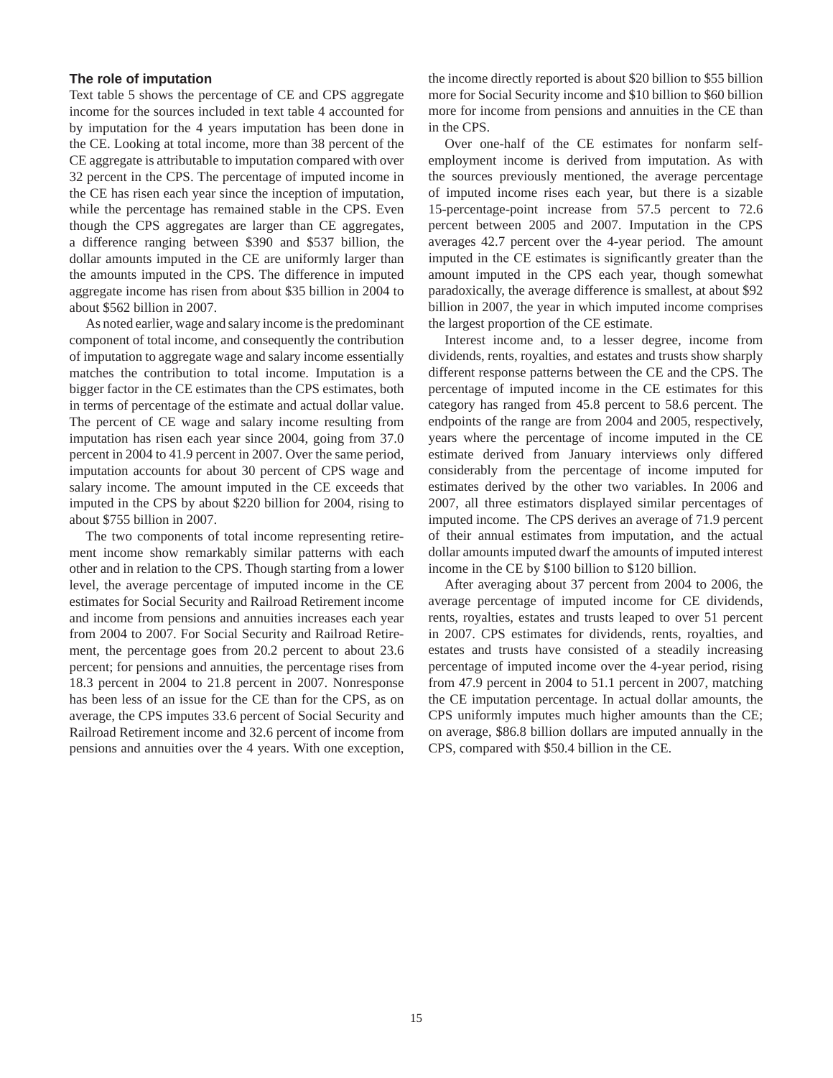#### **The role of imputation**

Text table 5 shows the percentage of CE and CPS aggregate income for the sources included in text table 4 accounted for by imputation for the 4 years imputation has been done in the CE. Looking at total income, more than 38 percent of the CE aggregate is attributable to imputation compared with over 32 percent in the CPS. The percentage of imputed income in the CE has risen each year since the inception of imputation, while the percentage has remained stable in the CPS. Even though the CPS aggregates are larger than CE aggregates, a difference ranging between \$390 and \$537 billion, the dollar amounts imputed in the CE are uniformly larger than the amounts imputed in the CPS. The difference in imputed aggregate income has risen from about \$35 billion in 2004 to about \$562 billion in 2007.

As noted earlier, wage and salary income is the predominant component of total income, and consequently the contribution of imputation to aggregate wage and salary income essentially matches the contribution to total income. Imputation is a bigger factor in the CE estimates than the CPS estimates, both in terms of percentage of the estimate and actual dollar value. The percent of CE wage and salary income resulting from imputation has risen each year since 2004, going from 37.0 percent in 2004 to 41.9 percent in 2007. Over the same period, imputation accounts for about 30 percent of CPS wage and salary income. The amount imputed in the CE exceeds that imputed in the CPS by about \$220 billion for 2004, rising to about \$755 billion in 2007.

The two components of total income representing retirement income show remarkably similar patterns with each other and in relation to the CPS. Though starting from a lower level, the average percentage of imputed income in the CE estimates for Social Security and Railroad Retirement income and income from pensions and annuities increases each year from 2004 to 2007. For Social Security and Railroad Retirement, the percentage goes from 20.2 percent to about 23.6 percent; for pensions and annuities, the percentage rises from 18.3 percent in 2004 to 21.8 percent in 2007. Nonresponse has been less of an issue for the CE than for the CPS, as on average, the CPS imputes 33.6 percent of Social Security and Railroad Retirement income and 32.6 percent of income from pensions and annuities over the 4 years. With one exception, the income directly reported is about \$20 billion to \$55 billion more for Social Security income and \$10 billion to \$60 billion more for income from pensions and annuities in the CE than in the CPS.

Over one-half of the CE estimates for nonfarm selfemployment income is derived from imputation. As with the sources previously mentioned, the average percentage of imputed income rises each year, but there is a sizable 15-percentage-point increase from 57.5 percent to 72.6 percent between 2005 and 2007. Imputation in the CPS averages 42.7 percent over the 4-year period. The amount imputed in the CE estimates is significantly greater than the amount imputed in the CPS each year, though somewhat paradoxically, the average difference is smallest, at about \$92 billion in 2007, the year in which imputed income comprises the largest proportion of the CE estimate.

Interest income and, to a lesser degree, income from dividends, rents, royalties, and estates and trusts show sharply different response patterns between the CE and the CPS. The percentage of imputed income in the CE estimates for this category has ranged from 45.8 percent to 58.6 percent. The endpoints of the range are from 2004 and 2005, respectively, years where the percentage of income imputed in the CE estimate derived from January interviews only differed considerably from the percentage of income imputed for estimates derived by the other two variables. In 2006 and 2007, all three estimators displayed similar percentages of imputed income. The CPS derives an average of 71.9 percent of their annual estimates from imputation, and the actual dollar amounts imputed dwarf the amounts of imputed interest income in the CE by \$100 billion to \$120 billion.

After averaging about 37 percent from 2004 to 2006, the average percentage of imputed income for CE dividends, rents, royalties, estates and trusts leaped to over 51 percent in 2007. CPS estimates for dividends, rents, royalties, and estates and trusts have consisted of a steadily increasing percentage of imputed income over the 4-year period, rising from 47.9 percent in 2004 to 51.1 percent in 2007, matching the CE imputation percentage. In actual dollar amounts, the CPS uniformly imputes much higher amounts than the CE; on average, \$86.8 billion dollars are imputed annually in the CPS, compared with \$50.4 billion in the CE.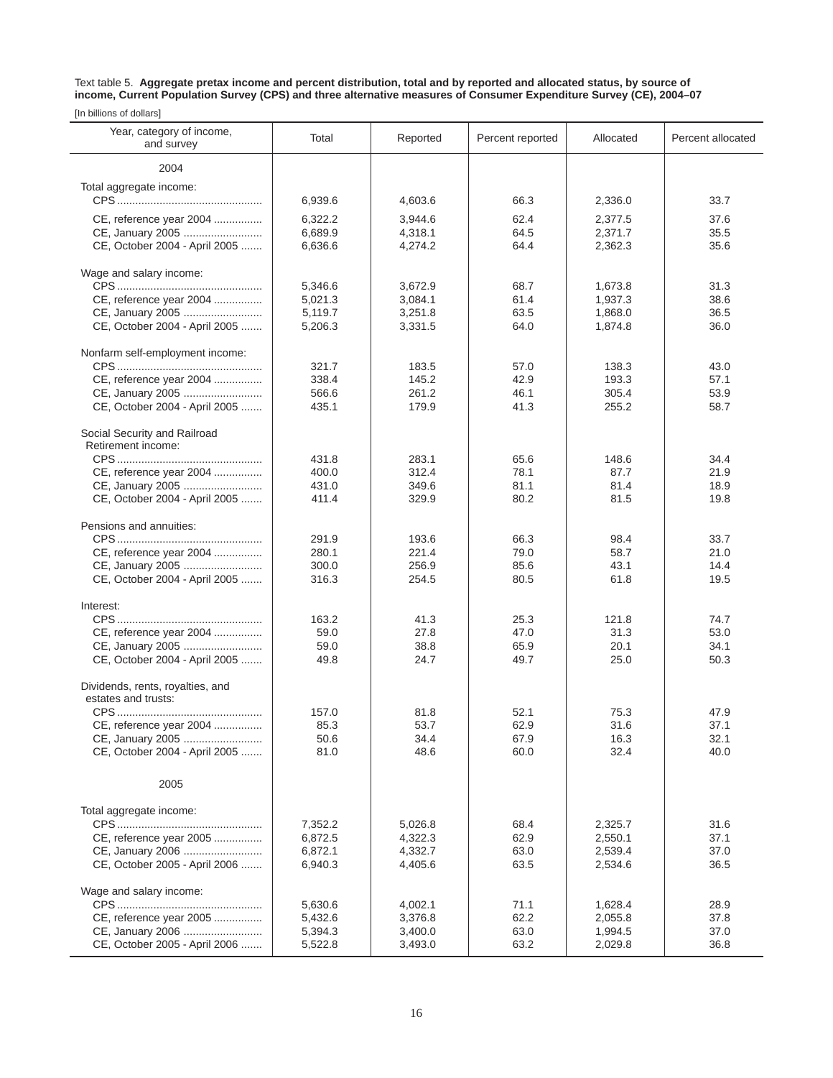Text table 5. **Aggregate pretax income and percent distribution, total and by reported and allocated status, by source of income, Current Population Survey (CPS) and three alternative measures of Consumer Expenditure Survey (CE), 2004–07**

| Year, category of income,<br>and survey           | Total              | Reported           | Percent reported | Allocated          | Percent allocated |
|---------------------------------------------------|--------------------|--------------------|------------------|--------------------|-------------------|
| 2004                                              |                    |                    |                  |                    |                   |
| Total aggregate income:                           |                    |                    |                  |                    |                   |
|                                                   | 6,939.6            | 4,603.6            | 66.3             | 2,336.0            | 33.7              |
| CE, reference year 2004                           | 6,322.2            | 3,944.6            | 62.4             | 2,377.5            | 37.6              |
| CE, January 2005                                  | 6,689.9            | 4,318.1            | 64.5             | 2,371.7            | 35.5              |
| CE, October 2004 - April 2005                     | 6,636.6            | 4,274.2            | 64.4             | 2,362.3            | 35.6              |
|                                                   |                    |                    |                  |                    |                   |
| Wage and salary income:                           |                    |                    | 68.7             |                    |                   |
| CE, reference year 2004                           | 5,346.6<br>5,021.3 | 3,672.9<br>3,084.1 | 61.4             | 1,673.8<br>1,937.3 | 31.3<br>38.6      |
| CE, January 2005                                  | 5,119.7            | 3,251.8            | 63.5             | 1,868.0            | 36.5              |
| CE, October 2004 - April 2005                     | 5,206.3            | 3,331.5            | 64.0             | 1,874.8            | 36.0              |
|                                                   |                    |                    |                  |                    |                   |
| Nonfarm self-employment income:                   |                    |                    |                  |                    |                   |
|                                                   | 321.7              | 183.5              | 57.0             | 138.3              | 43.0              |
| CE, reference year 2004<br>CE, January 2005       | 338.4              | 145.2              | 42.9             | 193.3              | 57.1              |
| CE, October 2004 - April 2005                     | 566.6<br>435.1     | 261.2<br>179.9     | 46.1<br>41.3     | 305.4<br>255.2     | 53.9<br>58.7      |
|                                                   |                    |                    |                  |                    |                   |
| Social Security and Railroad                      |                    |                    |                  |                    |                   |
| Retirement income:                                |                    |                    |                  |                    |                   |
|                                                   | 431.8              | 283.1              | 65.6             | 148.6              | 34.4              |
| CE, reference year 2004                           | 400.0              | 312.4              | 78.1             | 87.7               | 21.9              |
| CE, January 2005                                  | 431.0              | 349.6              | 81.1             | 81.4               | 18.9              |
| CE, October 2004 - April 2005                     | 411.4              | 329.9              | 80.2             | 81.5               | 19.8              |
| Pensions and annuities:                           |                    |                    |                  |                    |                   |
|                                                   | 291.9              | 193.6              | 66.3             | 98.4               | 33.7              |
| CE, reference year 2004                           | 280.1              | 221.4              | 79.0             | 58.7               | 21.0              |
| CE, January 2005                                  | 300.0              | 256.9              | 85.6             | 43.1               | 14.4              |
| CE, October 2004 - April 2005                     | 316.3              | 254.5              | 80.5             | 61.8               | 19.5              |
| Interest:                                         |                    |                    |                  |                    |                   |
|                                                   | 163.2              | 41.3               | 25.3             | 121.8              | 74.7              |
| CE, reference year 2004                           | 59.0               | 27.8               | 47.0             | 31.3               | 53.0              |
| CE, January 2005                                  | 59.0               | 38.8               | 65.9             | 20.1               | 34.1              |
| CE, October 2004 - April 2005                     | 49.8               | 24.7               | 49.7             | 25.0               | 50.3              |
|                                                   |                    |                    |                  |                    |                   |
| Dividends, rents, royalties, and                  |                    |                    |                  |                    |                   |
| estates and trusts:                               | 157.0              | 81.8               | 52.1             | 75.3               | 47.9              |
| CE, reference year 2004                           | 85.3               | 53.7               | 62.9             | 31.6               | 37.1              |
| CE, January 2005                                  | 50.6               | 34.4               | 67.9             | 16.3               | 32.1              |
| CE, October 2004 - April 2005                     | 81.0               | 48.6               | 60.0             | 32.4               | 40.0              |
|                                                   |                    |                    |                  |                    |                   |
| 2005                                              |                    |                    |                  |                    |                   |
|                                                   |                    |                    |                  |                    |                   |
| Total aggregate income:                           |                    |                    |                  |                    |                   |
|                                                   | 7,352.2            | 5,026.8            | 68.4             | 2,325.7            | 31.6              |
| CE, reference year 2005                           | 6,872.5<br>6,872.1 | 4,322.3            | 62.9             | 2,550.1<br>2,539.4 | 37.1              |
| CE, January 2006<br>CE, October 2005 - April 2006 | 6,940.3            | 4,332.7<br>4,405.6 | 63.0<br>63.5     | 2,534.6            | 37.0<br>36.5      |
|                                                   |                    |                    |                  |                    |                   |
| Wage and salary income:                           |                    |                    |                  |                    |                   |
|                                                   | 5,630.6            | 4,002.1            | 71.1             | 1,628.4            | 28.9              |
| CE, reference year 2005                           | 5,432.6            | 3,376.8            | 62.2             | 2,055.8            | 37.8              |
| CE, January 2006                                  | 5,394.3            | 3,400.0            | 63.0             | 1,994.5            | 37.0              |
| CE, October 2005 - April 2006                     | 5,522.8            | 3,493.0            | 63.2             | 2,029.8            | 36.8              |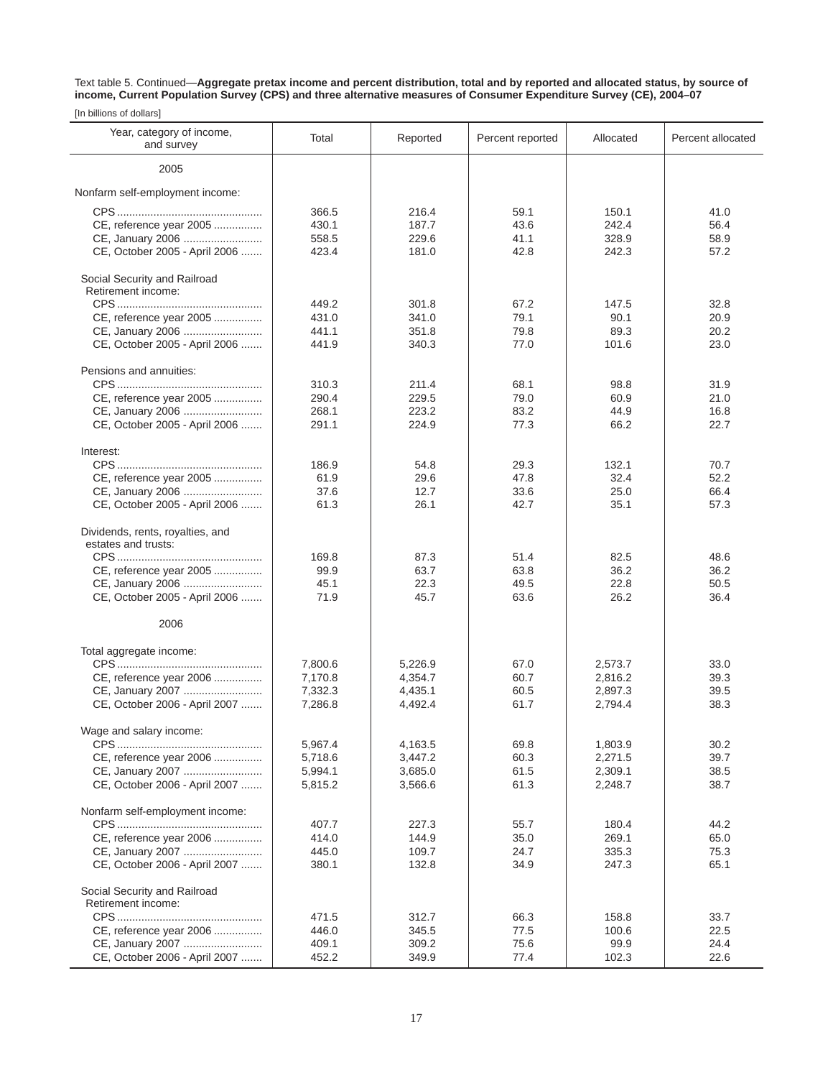Text table 5. Continued—**Aggregate pretax income and percent distribution, total and by reported and allocated status, by source of income, Current Population Survey (CPS) and three alternative measures of Consumer Expenditure Survey (CE), 2004–07**

| Year, category of income,<br>and survey                                      | Total                            | Reported                         | Percent reported             | Allocated                        | Percent allocated            |
|------------------------------------------------------------------------------|----------------------------------|----------------------------------|------------------------------|----------------------------------|------------------------------|
| 2005                                                                         |                                  |                                  |                              |                                  |                              |
| Nonfarm self-employment income:                                              |                                  |                                  |                              |                                  |                              |
| CE, reference year 2005<br>CE, January 2006<br>CE, October 2005 - April 2006 | 366.5<br>430.1<br>558.5<br>423.4 | 216.4<br>187.7<br>229.6<br>181.0 | 59.1<br>43.6<br>41.1<br>42.8 | 150.1<br>242.4<br>328.9<br>242.3 | 41.0<br>56.4<br>58.9<br>57.2 |
| Social Security and Railroad<br>Retirement income:                           |                                  |                                  |                              |                                  |                              |
|                                                                              | 449.2                            | 301.8                            | 67.2                         | 147.5                            | 32.8                         |
| CE, reference year 2005                                                      | 431.0                            | 341.0                            | 79.1                         | 90.1<br>89.3                     | 20.9                         |
| CE, January 2006<br>CE, October 2005 - April 2006                            | 441.1<br>441.9                   | 351.8<br>340.3                   | 79.8<br>77.0                 | 101.6                            | 20.2<br>23.0                 |
| Pensions and annuities:                                                      |                                  |                                  |                              |                                  |                              |
|                                                                              | 310.3                            | 211.4                            | 68.1                         | 98.8                             | 31.9                         |
| CE, reference year 2005                                                      | 290.4                            | 229.5                            | 79.0                         | 60.9                             | 21.0                         |
| CE, January 2006                                                             | 268.1                            | 223.2                            | 83.2                         | 44.9                             | 16.8                         |
| CE, October 2005 - April 2006                                                | 291.1                            | 224.9                            | 77.3                         | 66.2                             | 22.7                         |
| Interest:                                                                    |                                  |                                  |                              |                                  |                              |
|                                                                              | 186.9                            | 54.8                             | 29.3                         | 132.1                            | 70.7                         |
| CE, reference year 2005                                                      | 61.9                             | 29.6                             | 47.8                         | 32.4                             | 52.2                         |
| CE, January 2006                                                             | 37.6                             | 12.7                             | 33.6                         | 25.0                             | 66.4                         |
| CE, October 2005 - April 2006                                                | 61.3                             | 26.1                             | 42.7                         | 35.1                             | 57.3                         |
| Dividends, rents, royalties, and                                             |                                  |                                  |                              |                                  |                              |
| estates and trusts:                                                          |                                  |                                  |                              |                                  |                              |
|                                                                              | 169.8                            | 87.3                             | 51.4                         | 82.5                             | 48.6                         |
| CE, reference year 2005                                                      | 99.9                             | 63.7                             | 63.8                         | 36.2                             | 36.2                         |
| CE, January 2006                                                             | 45.1<br>71.9                     | 22.3<br>45.7                     | 49.5<br>63.6                 | 22.8<br>26.2                     | 50.5<br>36.4                 |
| CE, October 2005 - April 2006                                                |                                  |                                  |                              |                                  |                              |
| 2006                                                                         |                                  |                                  |                              |                                  |                              |
| Total aggregate income:                                                      |                                  |                                  |                              |                                  |                              |
|                                                                              | 7,800.6                          | 5,226.9                          | 67.0                         | 2,573.7                          | 33.0                         |
| CE, reference year 2006                                                      | 7,170.8<br>7,332.3               | 4,354.7<br>4,435.1               | 60.7<br>60.5                 | 2,816.2<br>2,897.3               | 39.3<br>39.5                 |
| CE, January 2007<br>CE, October 2006 - April 2007                            | 7,286.8                          | 4,492.4                          | 61.7                         | 2,794.4                          | 38.3                         |
|                                                                              |                                  |                                  |                              |                                  |                              |
| Wage and salary income:                                                      | 5,967.4                          | 4,163.5                          | 69.8                         | 1,803.9                          | 30.2                         |
| CE, reference year 2006                                                      | 5,718.6                          | 3,447.2                          | 60.3                         | 2,271.5                          | 39.7                         |
| CE, January 2007                                                             | 5,994.1                          | 3,685.0                          | 61.5                         | 2,309.1                          | 38.5                         |
| CE, October 2006 - April 2007                                                | 5,815.2                          | 3,566.6                          | 61.3                         | 2,248.7                          | 38.7                         |
| Nonfarm self-employment income:                                              |                                  |                                  |                              |                                  |                              |
|                                                                              | 407.7                            | 227.3                            | 55.7                         | 180.4                            | 44.2                         |
| CE, reference year 2006                                                      | 414.0                            | 144.9                            | 35.0                         | 269.1                            | 65.0                         |
| CE, January 2007                                                             | 445.0                            | 109.7                            | 24.7                         | 335.3                            | 75.3                         |
| CE, October 2006 - April 2007                                                | 380.1                            | 132.8                            | 34.9                         | 247.3                            | 65.1                         |
| Social Security and Railroad                                                 |                                  |                                  |                              |                                  |                              |
| Retirement income:                                                           |                                  |                                  |                              |                                  |                              |
|                                                                              | 471.5                            | 312.7                            | 66.3                         | 158.8                            | 33.7                         |
| CE, reference year 2006                                                      | 446.0                            | 345.5                            | 77.5                         | 100.6                            | 22.5                         |
| CE, January 2007                                                             | 409.1                            | 309.2                            | 75.6                         | 99.9                             | 24.4                         |
| CE, October 2006 - April 2007                                                | 452.2                            | 349.9                            | 77.4                         | 102.3                            | 22.6                         |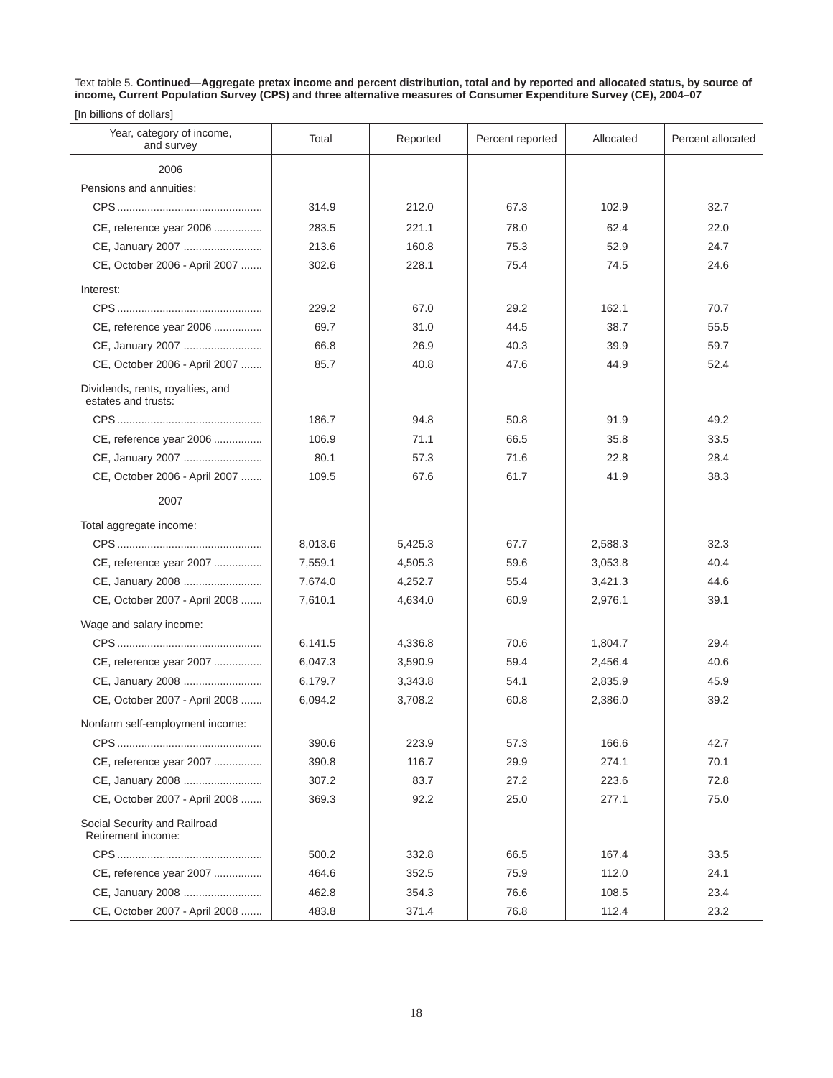Text table 5. **Continued—Aggregate pretax income and percent distribution, total and by reported and allocated status, by source of income, Current Population Survey (CPS) and three alternative measures of Consumer Expenditure Survey (CE), 2004–07**

|  | [In billions of dollars] |  |  |
|--|--------------------------|--|--|
|--|--------------------------|--|--|

| Year, category of income,<br>and survey                 | Total   | Reported | Percent reported | Allocated | Percent allocated |
|---------------------------------------------------------|---------|----------|------------------|-----------|-------------------|
| 2006                                                    |         |          |                  |           |                   |
| Pensions and annuities:                                 |         |          |                  |           |                   |
|                                                         | 314.9   | 212.0    | 67.3             | 102.9     | 32.7              |
| CE, reference year 2006                                 | 283.5   | 221.1    | 78.0             | 62.4      | 22.0              |
| CE, January 2007                                        | 213.6   | 160.8    | 75.3             | 52.9      | 24.7              |
| CE, October 2006 - April 2007                           | 302.6   | 228.1    | 75.4             | 74.5      | 24.6              |
| Interest:                                               |         |          |                  |           |                   |
|                                                         | 229.2   | 67.0     | 29.2             | 162.1     | 70.7              |
| CE, reference year 2006                                 | 69.7    | 31.0     | 44.5             | 38.7      | 55.5              |
| CE, January 2007                                        | 66.8    | 26.9     | 40.3             | 39.9      | 59.7              |
| CE, October 2006 - April 2007                           | 85.7    | 40.8     | 47.6             | 44.9      | 52.4              |
| Dividends, rents, royalties, and<br>estates and trusts: |         |          |                  |           |                   |
|                                                         | 186.7   | 94.8     | 50.8             | 91.9      | 49.2              |
| CE, reference year 2006                                 | 106.9   | 71.1     | 66.5             | 35.8      | 33.5              |
| CE, January 2007                                        | 80.1    | 57.3     | 71.6             | 22.8      | 28.4              |
| CE, October 2006 - April 2007                           | 109.5   | 67.6     | 61.7             | 41.9      | 38.3              |
| 2007                                                    |         |          |                  |           |                   |
| Total aggregate income:                                 |         |          |                  |           |                   |
|                                                         | 8,013.6 | 5,425.3  | 67.7             | 2,588.3   | 32.3              |
| CE, reference year 2007                                 | 7,559.1 | 4,505.3  | 59.6             | 3,053.8   | 40.4              |
| CE, January 2008                                        | 7,674.0 | 4,252.7  | 55.4             | 3,421.3   | 44.6              |
| CE, October 2007 - April 2008                           | 7,610.1 | 4,634.0  | 60.9             | 2,976.1   | 39.1              |
| Wage and salary income:                                 |         |          |                  |           |                   |
|                                                         | 6,141.5 | 4,336.8  | 70.6             | 1,804.7   | 29.4              |
| CE, reference year 2007                                 | 6,047.3 | 3,590.9  | 59.4             | 2,456.4   | 40.6              |
| CE, January 2008                                        | 6,179.7 | 3,343.8  | 54.1             | 2,835.9   | 45.9              |
| CE, October 2007 - April 2008                           | 6,094.2 | 3,708.2  | 60.8             | 2,386.0   | 39.2              |
| Nonfarm self-employment income:                         |         |          |                  |           |                   |
|                                                         | 390.6   | 223.9    | 57.3             | 166.6     | 42.7              |
| CE, reference year 2007                                 | 390.8   | 116.7    | 29.9             | 274.1     | 70.1              |
| CE, January 2008                                        | 307.2   | 83.7     | 27.2             | 223.6     | 72.8              |
| CE, October 2007 - April 2008                           | 369.3   | 92.2     | 25.0             | 277.1     | 75.0              |
| Social Security and Railroad<br>Retirement income:      |         |          |                  |           |                   |
|                                                         | 500.2   | 332.8    | 66.5             | 167.4     | 33.5              |
| CE, reference year 2007                                 | 464.6   | 352.5    | 75.9             | 112.0     | 24.1              |
| CE, January 2008                                        | 462.8   | 354.3    | 76.6             | 108.5     | 23.4              |
| CE, October 2007 - April 2008                           | 483.8   | 371.4    | 76.8             | 112.4     | 23.2              |